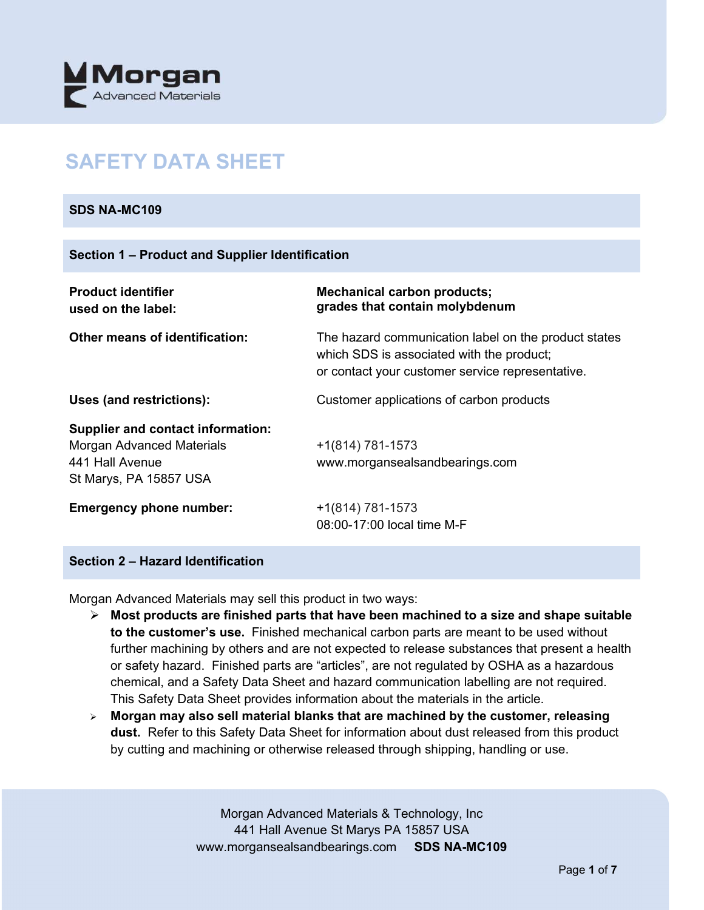

# **SAFETY DATA SHEET**

## **SDS NA-MC109**

| <b>Product identifier</b><br>used on the label:                                                                    | <b>Mechanical carbon products;</b><br>grades that contain molybdenum                                                                                  |
|--------------------------------------------------------------------------------------------------------------------|-------------------------------------------------------------------------------------------------------------------------------------------------------|
| <b>Other means of identification:</b>                                                                              | The hazard communication label on the product states<br>which SDS is associated with the product;<br>or contact your customer service representative. |
| Uses (and restrictions):                                                                                           | Customer applications of carbon products                                                                                                              |
| <b>Supplier and contact information:</b><br>Morgan Advanced Materials<br>441 Hall Avenue<br>St Marys, PA 15857 USA | $+1(814) 781-1573$<br>www.morgansealsandbearings.com                                                                                                  |
| <b>Emergency phone number:</b>                                                                                     | +1(814) 781-1573<br>08:00-17:00 local time M-F                                                                                                        |

# **Section 2 – Hazard Identification**

Morgan Advanced Materials may sell this product in two ways:

- **Most products are finished parts that have been machined to a size and shape suitable to the customer's use.** Finished mechanical carbon parts are meant to be used without further machining by others and are not expected to release substances that present a health or safety hazard. Finished parts are "articles", are not regulated by OSHA as a hazardous chemical, and a Safety Data Sheet and hazard communication labelling are not required. This Safety Data Sheet provides information about the materials in the article.
- **Morgan may also sell material blanks that are machined by the customer, releasing dust.** Refer to this Safety Data Sheet for information about dust released from this product by cutting and machining or otherwise released through shipping, handling or use.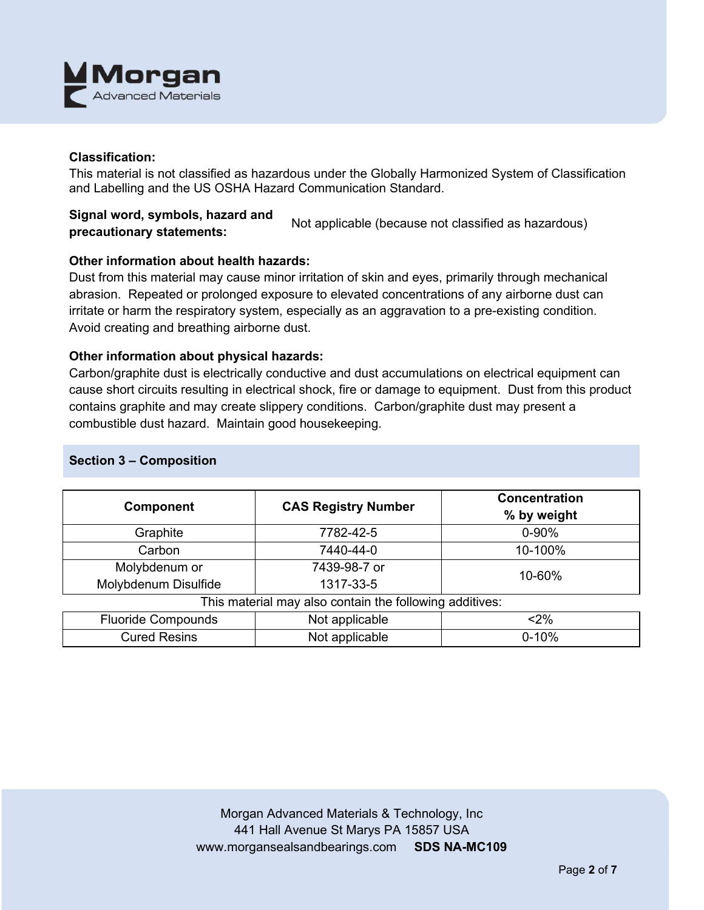

## **Classification:**

This material is not classified as hazardous under the Globally Harmonized System of Classification and Labelling and the US OSHA Hazard Communication Standard.

**Signal word, symbols, hazard and precautionary statements:** Not applicable (because not classified as hazardous)

## **Other information about health hazards:**

Dust from this material may cause minor irritation of skin and eyes, primarily through mechanical abrasion. Repeated or prolonged exposure to elevated concentrations of any airborne dust can irritate or harm the respiratory system, especially as an aggravation to a pre-existing condition. Avoid creating and breathing airborne dust.

## **Other information about physical hazards:**

Carbon/graphite dust is electrically conductive and dust accumulations on electrical equipment can cause short circuits resulting in electrical shock, fire or damage to equipment. Dust from this product contains graphite and may create slippery conditions. Carbon/graphite dust may present a combustible dust hazard. Maintain good housekeeping.

| <b>Component</b>                                        | <b>CAS Registry Number</b> | <b>Concentration</b><br>% by weight |  |  |
|---------------------------------------------------------|----------------------------|-------------------------------------|--|--|
| Graphite                                                | 7782-42-5                  | $0 - 90%$                           |  |  |
| Carbon                                                  | 7440-44-0                  | 10-100%                             |  |  |
| Molybdenum or<br>Molybdenum Disulfide                   | 7439-98-7 or<br>1317-33-5  | 10-60%                              |  |  |
| This material may also contain the following additives: |                            |                                     |  |  |
| <b>Fluoride Compounds</b>                               | Not applicable             | $<$ 2%                              |  |  |
| <b>Cured Resins</b><br>Not applicable                   |                            | $0 - 10%$                           |  |  |

## **Section 3 – Composition**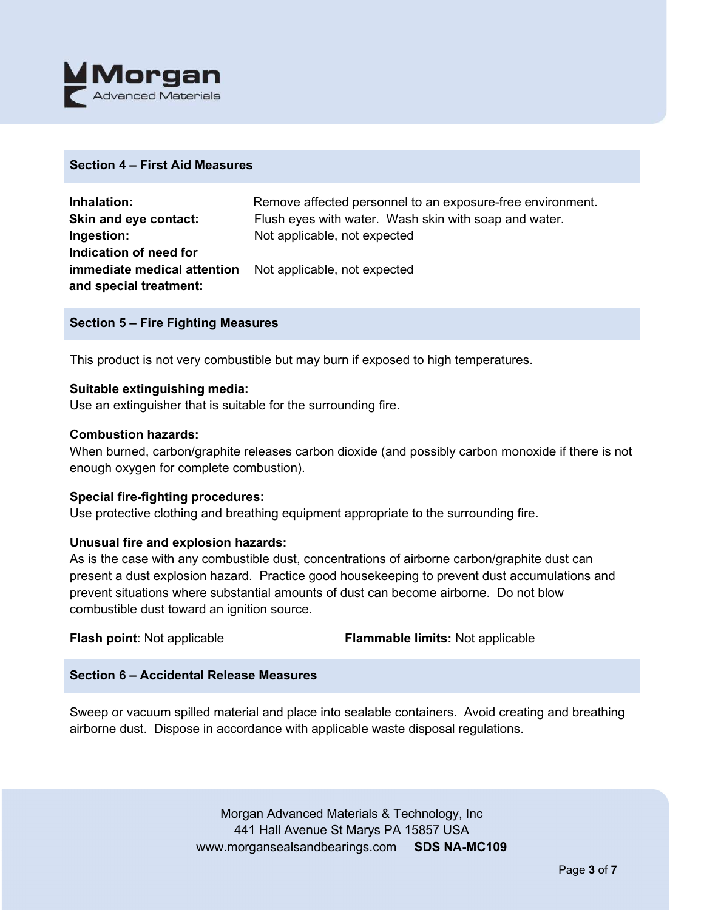

## **Section 4 – First Aid Measures**

| Inhalation:                                                     | Remove affected personnel to an exposure-free environment. |
|-----------------------------------------------------------------|------------------------------------------------------------|
| Skin and eye contact:                                           | Flush eyes with water. Wash skin with soap and water.      |
| Ingestion:                                                      | Not applicable, not expected                               |
| Indication of need for                                          |                                                            |
| <b>immediate medical attention</b> Not applicable, not expected |                                                            |
| and special treatment:                                          |                                                            |

#### **Section 5 – Fire Fighting Measures**

This product is not very combustible but may burn if exposed to high temperatures.

#### **Suitable extinguishing media:**

Use an extinguisher that is suitable for the surrounding fire.

#### **Combustion hazards:**

When burned, carbon/graphite releases carbon dioxide (and possibly carbon monoxide if there is not enough oxygen for complete combustion).

#### **Special fire-fighting procedures:**

Use protective clothing and breathing equipment appropriate to the surrounding fire.

#### **Unusual fire and explosion hazards:**

As is the case with any combustible dust, concentrations of airborne carbon/graphite dust can present a dust explosion hazard. Practice good housekeeping to prevent dust accumulations and prevent situations where substantial amounts of dust can become airborne. Do not blow combustible dust toward an ignition source.

**Flash point**: Not applicable **Flammable limits:** Not applicable

## **Section 6 – Accidental Release Measures**

Sweep or vacuum spilled material and place into sealable containers. Avoid creating and breathing airborne dust. Dispose in accordance with applicable waste disposal regulations.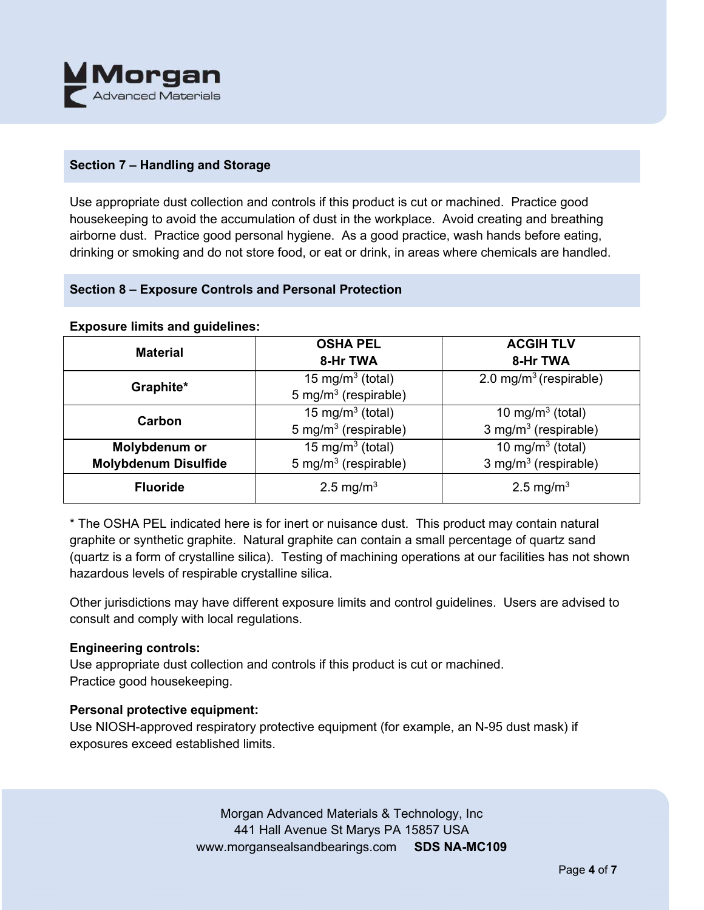

# **Section 7 – Handling and Storage**

Use appropriate dust collection and controls if this product is cut or machined. Practice good housekeeping to avoid the accumulation of dust in the workplace. Avoid creating and breathing airborne dust. Practice good personal hygiene. As a good practice, wash hands before eating, drinking or smoking and do not store food, or eat or drink, in areas where chemicals are handled.

# **Section 8 – Exposure Controls and Personal Protection**

#### **Exposure limits and guidelines:**

| <b>Material</b>             | <b>OSHA PEL</b>                                | <b>ACGIH TLV</b>                   |  |
|-----------------------------|------------------------------------------------|------------------------------------|--|
|                             | 8-Hr TWA                                       | 8-Hr TWA                           |  |
| Graphite*                   | 15 mg/m <sup>3</sup> (total)                   | 2.0 mg/m <sup>3</sup> (respirable) |  |
|                             | 5 mg/m <sup>3</sup> (respirable)               |                                    |  |
| Carbon                      | 15 mg/m <sup>3</sup> (total)                   | 10 mg/m $3$ (total)                |  |
|                             | 5 mg/m <sup>3</sup> (respirable)               | 3 mg/m <sup>3</sup> (respirable)   |  |
| Molybdenum or               | 15 mg/m <sup>3</sup> (total)                   | 10 mg/m $3$ (total)                |  |
| <b>Molybdenum Disulfide</b> | 5 mg/m <sup>3</sup> (respirable)               | 3 mg/m <sup>3</sup> (respirable)   |  |
| <b>Fluoride</b>             | 2.5 mg/m <sup>3</sup><br>2.5 mg/m <sup>3</sup> |                                    |  |

\* The OSHA PEL indicated here is for inert or nuisance dust. This product may contain natural graphite or synthetic graphite. Natural graphite can contain a small percentage of quartz sand (quartz is a form of crystalline silica). Testing of machining operations at our facilities has not shown hazardous levels of respirable crystalline silica.

Other jurisdictions may have different exposure limits and control guidelines. Users are advised to consult and comply with local regulations.

## **Engineering controls:**

Use appropriate dust collection and controls if this product is cut or machined. Practice good housekeeping.

# **Personal protective equipment:**

Use NIOSH-approved respiratory protective equipment (for example, an N-95 dust mask) if exposures exceed established limits.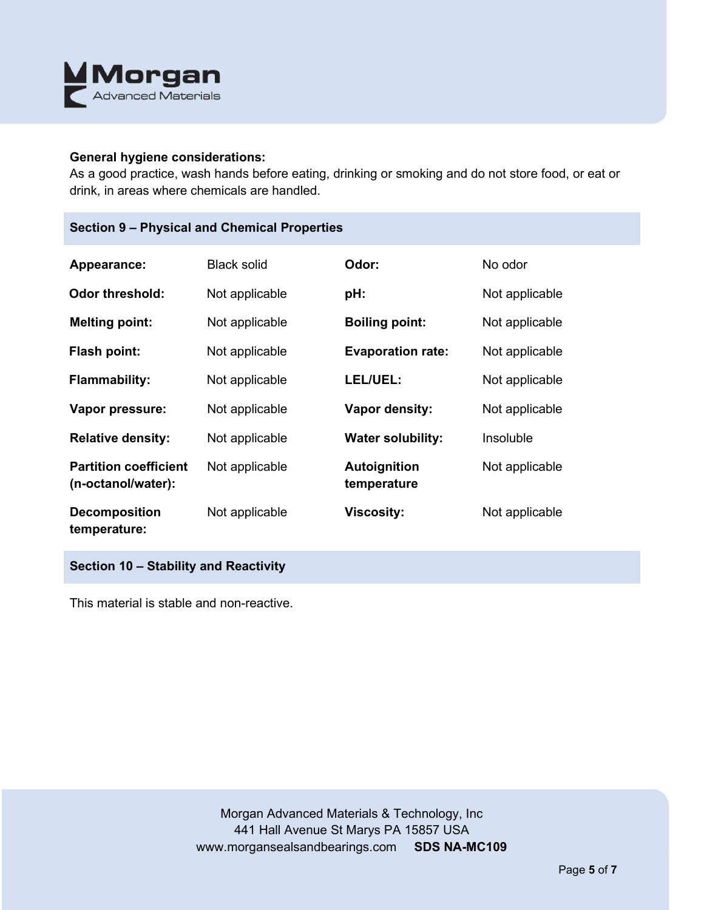

## **General hygiene considerations:**

As a good practice, wash hands before eating, drinking or smoking and do not store food, or eat or drink, in areas where chemicals are handled.

| Appearance:                                        | <b>Black solid</b> | Odor:                              | No odor        |
|----------------------------------------------------|--------------------|------------------------------------|----------------|
| Odor threshold:                                    | Not applicable     | pH:                                | Not applicable |
| <b>Melting point:</b>                              | Not applicable     | <b>Boiling point:</b>              | Not applicable |
| <b>Flash point:</b>                                | Not applicable     | <b>Evaporation rate:</b>           | Not applicable |
| <b>Flammability:</b>                               | Not applicable     | LEL/UEL:                           | Not applicable |
| Vapor pressure:                                    | Not applicable     | Vapor density:                     | Not applicable |
| <b>Relative density:</b>                           | Not applicable     | <b>Water solubility:</b>           | Insoluble      |
| <b>Partition coefficient</b><br>(n-octanol/water): | Not applicable     | <b>Autoignition</b><br>temperature | Not applicable |
| <b>Decomposition</b><br>temperature:               | Not applicable     | <b>Viscosity:</b>                  | Not applicable |

**Section 10 – Stability and Reactivity** 

This material is stable and non-reactive.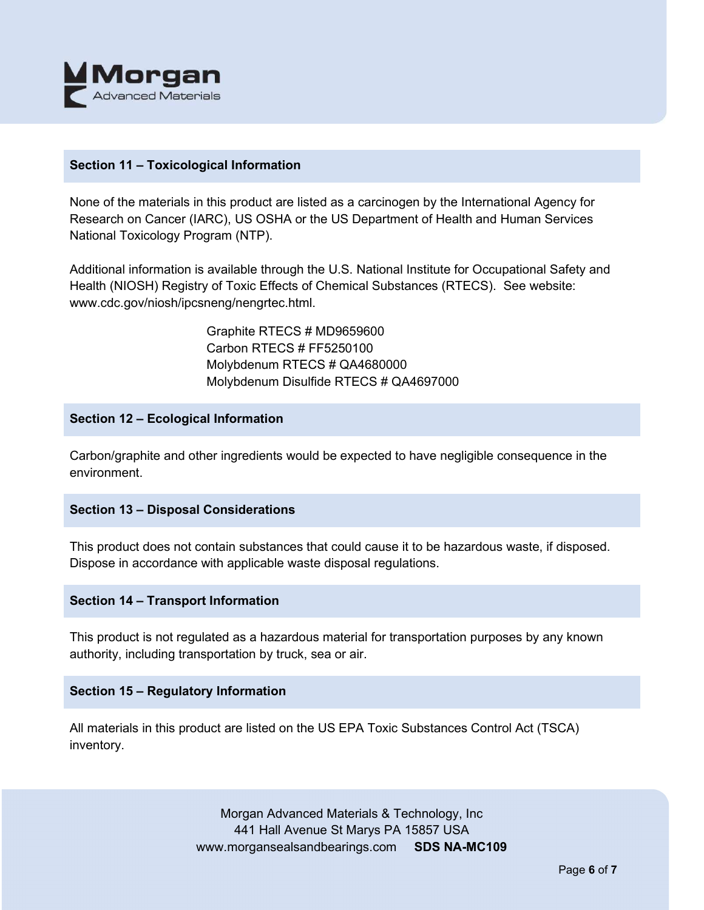

## **Section 11 – Toxicological Information**

None of the materials in this product are listed as a carcinogen by the International Agency for Research on Cancer (IARC), US OSHA or the US Department of Health and Human Services National Toxicology Program (NTP).

Additional information is available through the U.S. National Institute for Occupational Safety and Health (NIOSH) Registry of Toxic Effects of Chemical Substances (RTECS). See website: www.cdc.gov/niosh/ipcsneng/nengrtec.html.

> Graphite RTECS # MD9659600 Carbon RTECS # FF5250100 Molybdenum RTECS # QA4680000 Molybdenum Disulfide RTECS # QA4697000

## **Section 12 – Ecological Information**

Carbon/graphite and other ingredients would be expected to have negligible consequence in the environment.

# **Section 13 – Disposal Considerations**

This product does not contain substances that could cause it to be hazardous waste, if disposed. Dispose in accordance with applicable waste disposal regulations.

## **Section 14 – Transport Information**

This product is not regulated as a hazardous material for transportation purposes by any known authority, including transportation by truck, sea or air.

## **Section 15 – Regulatory Information**

All materials in this product are listed on the US EPA Toxic Substances Control Act (TSCA) inventory.